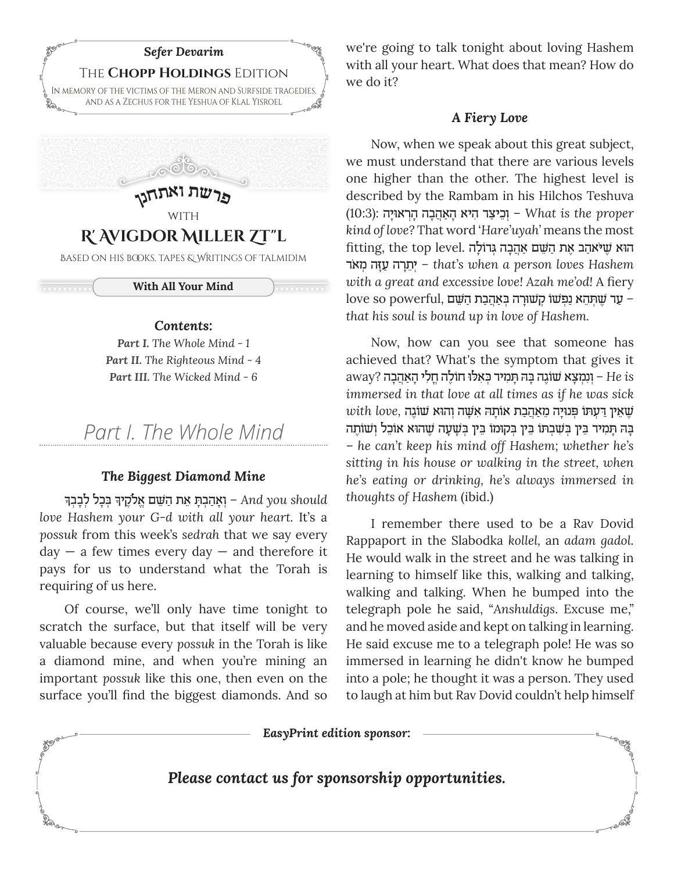

<del>. . . . . . . .</del>

**CONTROLLED** 

**With All Your Mind**

### *Contents:*

*Part I. The Whole Mind - 1 Part II. The Righteous Mind - 4 Part III. The Wicked Mind - 6*

*Part I. The Whole Mind*

### *The Biggest Diamond Mine*

ָ ָן and you should − יִאָהַבְתְּ אֵת הַשֵּׁם אֱלֹקֶיךָ בְּכָל לְבָבְך *love Hashem your G-d with all your heart.* It's a *possuk* from this week's *sedrah* that we say every  $day - a$  few times every day  $-$  and therefore it pays for us to understand what the Torah is requiring of us here.

Of course, we'll only have time tonight to scratch the surface, but that itself will be very valuable because every *possuk* in the Torah is like a diamond mine, and when you're mining an important *possuk* like this one, then even on the surface you'll find the biggest diamonds. And so

we're going to talk tonight about loving Hashem with all your heart. What does that mean? How do we do it?

### *A Fiery Love*

Now, when we speak about this great subject, we must understand that there are various levels one higher than the other. The highest level is described by the Rambam in his Hilchos Teshuva (10:3): **יִכִיצַר היא האהבה הראויַה (10:3**). **What** is the proper *kind of love?* That word '*Hare'uyah'* means the most הוֹא שִׁיֹּאהַב אֵת הַשָּׁם אַהֲבָה גְּדוֹלַה .fitting, the top level "‡ֹ מ ¿זהָּעַ רהָ≈˙י *–* ¿*that's when a person loves Hashem with a great and excessive love! Azah me'od!* A fiery  $\,$  love so powerful, ער שתהא נפשו קשורה באהבת השם  $\,$ *that his soul is bound up in love of Hashem.* 

Now, how can you see that someone has achieved that? What's the symptom that gives it away? – **וְנִמְצֵא שׁוֹגֶה בַּה תִּמְיד כְּאִלוּ חוֹלֵה חֲלִי** הָאַהֲבָה ?away *immersed in that love at all times as if he was sick*   $with\;love,$  שאין דעתו פנויה מאהבת אותה אשה והוא שוגה ֿבָּה תָּמִיד בֵּין בִּשִׁבִתּו בֵּין בִּקוּמוֹ בֵּין בִשְׁעָה שֵׁהוּא אוֹכֵל וִשׁוֹתֵה – *he can't keep his mind off Hashem; whether he's sitting in his house or walking in the street, when he's eating or drinking, he's always immersed in thoughts of Hashem* (ibid.)

I remember there used to be a Rav Dovid Rappaport in the Slabodka *kollel,* an *adam gadol.*  He would walk in the street and he was talking in learning to himself like this, walking and talking, walking and talking. When he bumped into the telegraph pole he said, "*Anshuldigs*. Excuse me," and he moved aside and kept on talking in learning. He said excuse me to a telegraph pole! He was so immersed in learning he didn't know he bumped into a pole; he thought it was a person. They used to laugh at him but Rav Dovid couldn't help himself

*EasyPrint edition sponsor:*

*Please contact us for sponsorship opportunities.*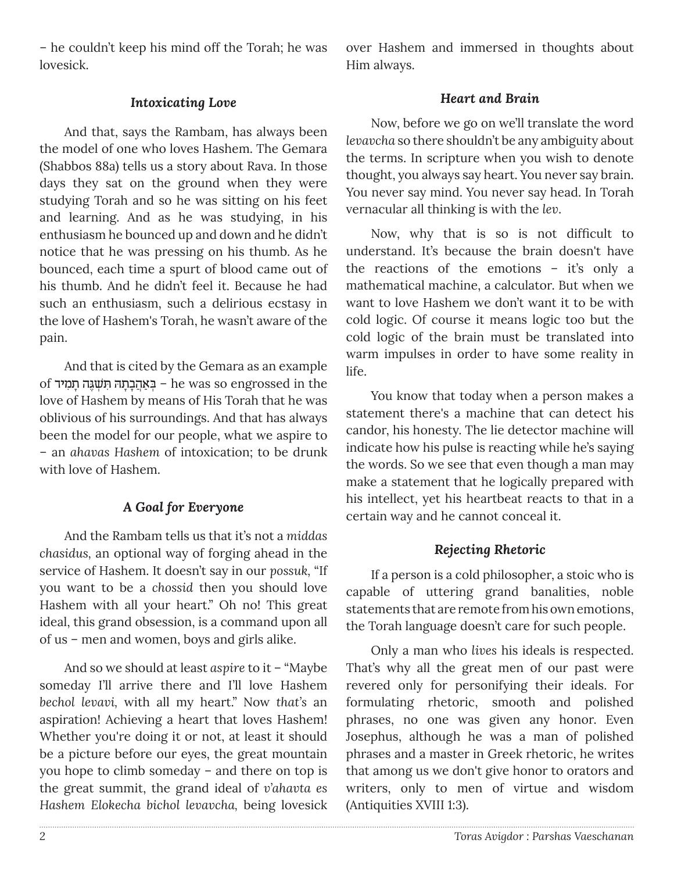– he couldn't keep his mind off the Torah; he was lovesick.

over Hashem and immersed in thoughts about Him always.

### *Intoxicating Love*

And that, says the Rambam, has always been the model of one who loves Hashem. The Gemara (Shabbos 88a) tells us a story about Rava. In those days they sat on the ground when they were studying Torah and so he was sitting on his feet and learning. And as he was studying, in his enthusiasm he bounced up and down and he didn't notice that he was pressing on his thumb. As he bounced, each time a spurt of blood came out of his thumb. And he didn't feel it. Because he had such an enthusiasm, such a delirious ecstasy in the love of Hashem's Torah, he wasn't aware of the pain.

And that is cited by the Gemara as an example of יִבְאֲהֲבָרָה תִּשְׁגֶּה תָמִיד – he was so engrossed in the love of Hashem by means of His Torah that he was oblivious of his surroundings. And that has always been the model for our people, what we aspire to – an *ahavas Hashem* of intoxication; to be drunk with love of Hashem.

### *A Goal for Everyone*

And the Rambam tells us that it's not a *middas chasidus,* an optional way of forging ahead in the service of Hashem. It doesn't say in our *possuk,* "If you want to be a *chossid* then you should love Hashem with all your heart." Oh no! This great ideal, this grand obsession, is a command upon all of us – men and women, boys and girls alike.

And so we should at least *aspire* to it – "Maybe someday I'll arrive there and I'll love Hashem *bechol levavi,* with all my heart." Now *that's* an aspiration! Achieving a heart that loves Hashem! Whether you're doing it or not, at least it should be a picture before our eyes, the great mountain you hope to climb someday – and there on top is the great summit, the grand ideal of *v'ahavta es Hashem Elokecha bichol levavcha,* being lovesick

## *Heart and Brain*

Now, before we go on we'll translate the word *levavcha* so there shouldn't be any ambiguity about the terms. In scripture when you wish to denote thought, you always say heart. You never say brain. You never say mind. You never say head. In Torah vernacular all thinking is with the *lev*.

Now, why that is so is not difficult to understand. It's because the brain doesn't have the reactions of the emotions – it's only a mathematical machine, a calculator. But when we want to love Hashem we don't want it to be with cold logic. Of course it means logic too but the cold logic of the brain must be translated into warm impulses in order to have some reality in life.

You know that today when a person makes a statement there's a machine that can detect his candor, his honesty. The lie detector machine will indicate how his pulse is reacting while he's saying the words. So we see that even though a man may make a statement that he logically prepared with his intellect, yet his heartbeat reacts to that in a certain way and he cannot conceal it.

### *Rejecting Rhetoric*

If a person is a cold philosopher, a stoic who is capable of uttering grand banalities, noble statements that are remote from his own emotions, the Torah language doesn't care for such people.

Only a man who *lives* his ideals is respected. That's why all the great men of our past were revered only for personifying their ideals. For formulating rhetoric, smooth and polished phrases, no one was given any honor. Even Josephus, although he was a man of polished phrases and a master in Greek rhetoric, he writes that among us we don't give honor to orators and writers, only to men of virtue and wisdom (Antiquities XVIII 1:3).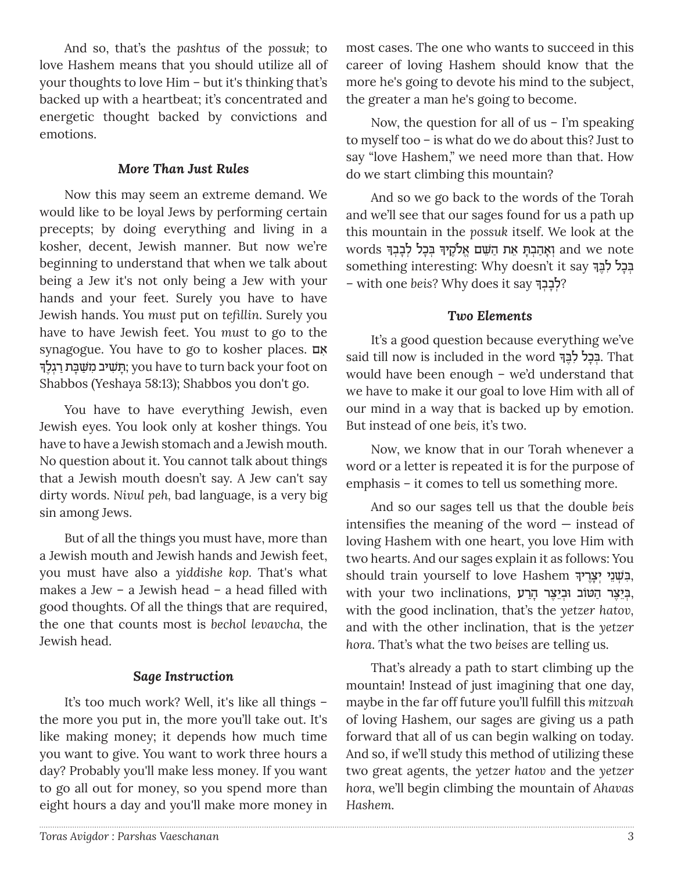And so, that's the *pashtus* of the *possuk;* to love Hashem means that you should utilize all of your thoughts to love Him – but it's thinking that's backed up with a heartbeat; it's concentrated and energetic thought backed by convictions and emotions.

## *More Than Just Rules*

Now this may seem an extreme demand. We would like to be loyal Jews by performing certain precepts; by doing everything and living in a kosher, decent, Jewish manner. But now we're beginning to understand that when we talk about being a Jew it's not only being a Jew with your hands and your feet. Surely you have to have Jewish hands. You *must* put on *tefillin*. Surely you have to have Jewish feet. You *must* to go to the synagogue. You have to go to kosher places. אם ָּתְשִׁיב מִשְׁבַּת רְגֵלֹךְ; you have to turn back your foot on Shabbos (Yeshaya 58:13); Shabbos you don't go.

You have to have everything Jewish, even Jewish eyes. You look only at kosher things. You have to have a Jewish stomach and a Jewish mouth. No question about it. You cannot talk about things that a Jewish mouth doesn't say. A Jew can't say dirty words. *Nivul peh,* bad language, is a very big sin among Jews.

But of all the things you must have, more than a Jewish mouth and Jewish hands and Jewish feet, you must have also a *yiddishe kop.* That's what makes a Jew – a Jewish head – a head filled with good thoughts. Of all the things that are required, the one that counts most is *bechol levavcha,* the Jewish head.

# *Sage Instruction*

It's too much work? Well, it's like all things – the more you put in, the more you'll take out. It's like making money; it depends how much time you want to give. You want to work three hours a day? Probably you'll make less money. If you want to go all out for money, so you spend more than eight hours a day and you'll make more money in

most cases. The one who wants to succeed in this career of loving Hashem should know that the more he's going to devote his mind to the subject, the greater a man he's going to become.

Now, the question for all of us  $-$  I'm speaking to myself too – is what do we do about this? Just to say "love Hashem," we need more than that. How do we start climbing this mountain?

And so we go back to the words of the Torah and we'll see that our sages found for us a path up this mountain in the *possuk* itself. We look at the  $\rm{words}$  וְאָהַבְתְּ אֵת הַשֵּׁם אֱלֹקֶיךָ בְּכְל לְבְבְרָ ָsomething interesting: Why doesn't it say בְּכָל לִבֶּךָ – with one beis? Why does it say ?

# *Two Elements*

It's a good question because everything we've said till now is included in the word בְּבְל לִבֶּךְ. That would have been enough – we'd understand that we have to make it our goal to love Him with all of our mind in a way that is backed up by emotion. But instead of one *beis,* it's two.

Now, we know that in our Torah whenever a word or a letter is repeated it is for the purpose of emphasis – it comes to tell us something more.

And so our sages tell us that the double *beis* intensifies the meaning of the word  $-$  instead of loving Hashem with one heart, you love Him with two hearts. And our sages explain it as follows: You should train yourself to love Hashem בִּשְׁנֵי יְצְרֶיךָ, with your two inclinations, בִּיֵצֵר הַטׂוֹב וּבִיַצֵר הַרַע with the good inclination, that's the *yetzer hatov,* and with the other inclination, that is the *yetzer hora*. That's what the two *beises* are telling us.

That's already a path to start climbing up the mountain! Instead of just imagining that one day, maybe in the far off future you'll fulfill this *mitzvah*  of loving Hashem, our sages are giving us a path forward that all of us can begin walking on today. And so, if we'll study this method of utilizing these two great agents, the *yetzer hatov* and the *yetzer hora*, we'll begin climbing the mountain of *Ahavas Hashem.*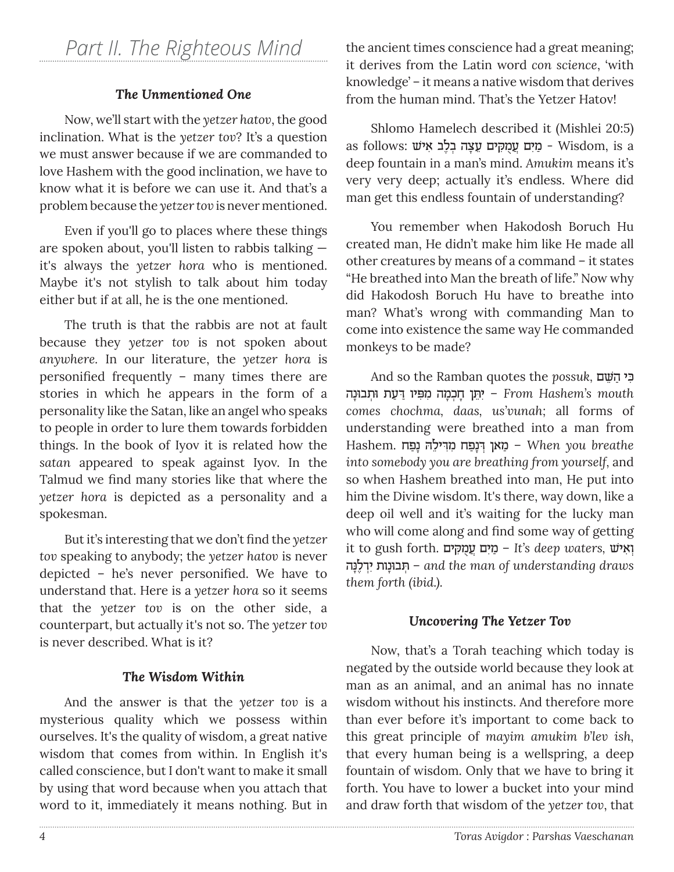# *Part II. The Righteous Mind*

# *The Unmentioned One*

Now, we'll start with the *yetzer hatov*, the good inclination. What is the *yetzer tov*? It's a question we must answer because if we are commanded to love Hashem with the good inclination, we have to know what it is before we can use it. And that's a problem because the *yetzer tov* is never mentioned.

Even if you'll go to places where these things are spoken about, you'll listen to rabbis talking it's always the *yetzer hora* who is mentioned. Maybe it's not stylish to talk about him today either but if at all, he is the one mentioned.

The truth is that the rabbis are not at fault because they *yetzer tov* is not spoken about *anywhere.* In our literature, the *yetzer hora* is personified frequently – many times there are stories in which he appears in the form of a personality like the Satan, like an angel who speaks to people in order to lure them towards forbidden things. In the book of Iyov it is related how the *satan* appeared to speak against Iyov. In the Talmud we find many stories like that where the *yetzer hora* is depicted as a personality and a spokesman.

But it's interesting that we don't find the *yetzer tov* speaking to anybody; the *yetzer hatov* is never depicted – he's never personified. We have to understand that. Here is a *yetzer hora* so it seems that the *yetzer tov* is on the other side, a counterpart, but actually it's not so. The *yetzer tov* is never described. What is it?

### *The Wisdom Within*

And the answer is that the *yetzer tov* is a mysterious quality which we possess within ourselves. It's the quality of wisdom, a great native wisdom that comes from within. In English it's called conscience, but I don't want to make it small by using that word because when you attach that word to it, immediately it means nothing. But in

the ancient times conscience had a great meaning; it derives from the Latin word *con science*, 'with knowledge' – it means a native wisdom that derives from the human mind. That's the Yetzer Hatov!

Shlomo Hamelech described it (Mishlei 20:5) as follows: מִיִּם עֲמַקִים עֲצָה בְלַב אִישׁ - Wisdom, is a deep fountain in a man's mind. *Amukim* means it's very very deep; actually it's endless. Where did man get this endless fountain of understanding?

You remember when Hakodosh Boruch Hu created man, He didn't make him like He made all other creatures by means of a command – it states "He breathed into Man the breath of life." Now why did Hakodosh Boruch Hu have to breathe into man? What's wrong with commanding Man to come into existence the same way He commanded monkeys to be made?

And so the Ramban quotes the *possuk,* ם≈˘ּׁ הַ כיּƒ יְהֵן חָכְמָה מִפִּיו דַעַת וּתְבוּנָה <sup>−</sup> From Hashem's mouth *comes chochma, daas, us'vunah;* all forms of understanding were breathed into a man from Hashem. מאן דּנַפח מדילה נפח *ש When* you breathe *into somebody you are breathing from yourself,* and so when Hashem breathed into man, He put into him the Divine wisdom. It's there, way down, like a deep oil well and it's waiting for the lucky man who will come along and find some way of getting it to gush forth. יְאִישׁ – It's deep waters, **וְאִי** נהָּל¿"∆יƒ ˙נוָבוּ¿˙ ּ – *and the man of understanding draws them forth (ibid.).*

### *Uncovering The Yetzer Tov*

Now, that's a Torah teaching which today is negated by the outside world because they look at man as an animal, and an animal has no innate wisdom without his instincts. And therefore more than ever before it's important to come back to this great principle of *mayim amukim b'lev ish,*  that every human being is a wellspring, a deep fountain of wisdom. Only that we have to bring it forth. You have to lower a bucket into your mind and draw forth that wisdom of the *yetzer tov*, that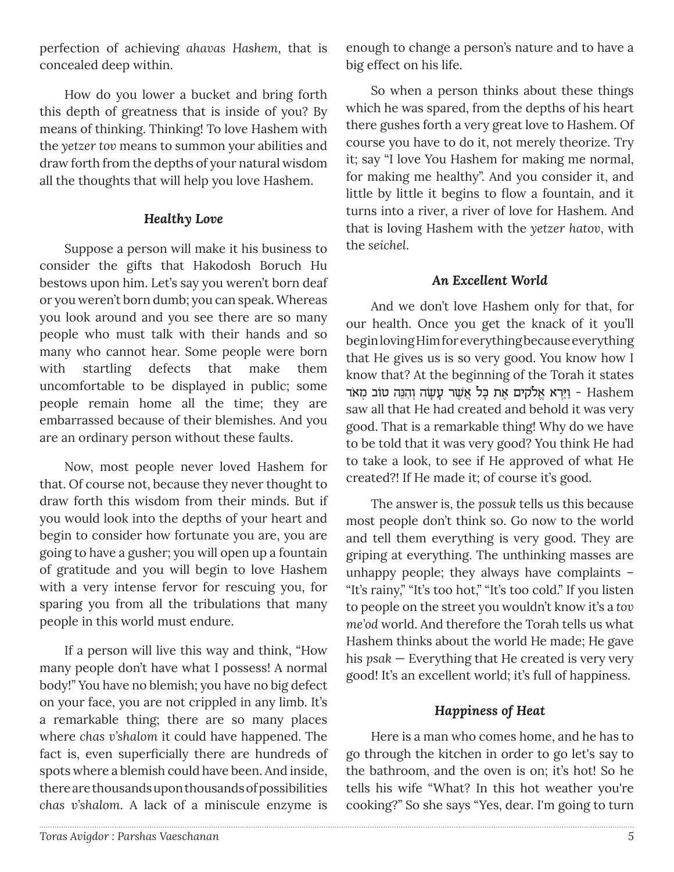perfection of achieving *ahavas Hashem*, that is concealed deep within.

How do you lower a bucket and bring forth this depth of greatness that is inside of you? By means of thinking. Thinking! To love Hashem with the *yetzer tov* means to summon your abilities and draw forth from the depths of your natural wisdom all the thoughts that will help you love Hashem.

## *Healthy Love*

Suppose a person will make it his business to consider the gifts that Hakodosh Boruch Hu bestows upon him. Let's say you weren't born deaf or you weren't born dumb; you can speak. Whereas you look around and you see there are so many people who must talk with their hands and so many who cannot hear. Some people were born with startling defects that make them uncomfortable to be displayed in public; some people remain home all the time; they are embarrassed because of their blemishes. And you are an ordinary person without these faults.

Now, most people never loved Hashem for that. Of course not, because they never thought to draw forth this wisdom from their minds. But if you would look into the depths of your heart and begin to consider how fortunate you are, you are going to have a gusher; you will open up a fountain of gratitude and you will begin to love Hashem with a very intense fervor for rescuing you, for sparing you from all the tribulations that many people in this world must endure.

If a person will live this way and think, "How many people don't have what I possess! A normal body!" You have no blemish; you have no big defect on your face, you are not crippled in any limb. It's a remarkable thing; there are so many places where *chas v'shalom* it could have happened. The fact is, even superficially there are hundreds of spots where a blemish could have been. And inside, there are thousands upon thousands of possibilities *chas v'shalom*. A lack of a miniscule enzyme is

enough to change a person's nature and to have a big effect on his life.

So when a person thinks about these things which he was spared, from the depths of his heart there gushes forth a very great love to Hashem. Of course you have to do it, not merely theorize. Try it; say "I love You Hashem for making me normal, for making me healthy". And you consider it, and little by little it begins to flow a fountain, and it turns into a river, a river of love for Hashem. And that is loving Hashem with the *yetzer hatov*, with the *seichel*.

# *An Excellent World*

And we don't love Hashem only for that, for our health. Once you get the knack of it you'll begin loving Him for everything because everything that He gives us is so very good. You know how I know that? At the beginning of the Torah it states יַיֲרָא אֱלֹקים אֶת כָּל אֲשֶׁר עָשָׂה וְהִנֵּה טוֹב מְאֹד − Hashem saw all that He had created and behold it was very good. That is a remarkable thing! Why do we have to be told that it was very good? You think He had to take a look, to see if He approved of what He created?! If He made it; of course it's good.

The answer is, the *possuk* tells us this because most people don't think so. Go now to the world and tell them everything is very good. They are griping at everything. The unthinking masses are unhappy people; they always have complaints – "It's rainy," "It's too hot," "It's too cold." If you listen to people on the street you wouldn't know it's a *tov me'od* world. And therefore the Torah tells us what Hashem thinks about the world He made; He gave his *psak* — Everything that He created is very very good! It's an excellent world; it's full of happiness.

# *Happiness of Heat*

Here is a man who comes home, and he has to go through the kitchen in order to go let's say to the bathroom, and the oven is on; it's hot! So he tells his wife "What? In this hot weather you're cooking?" So she says "Yes, dear. I'm going to turn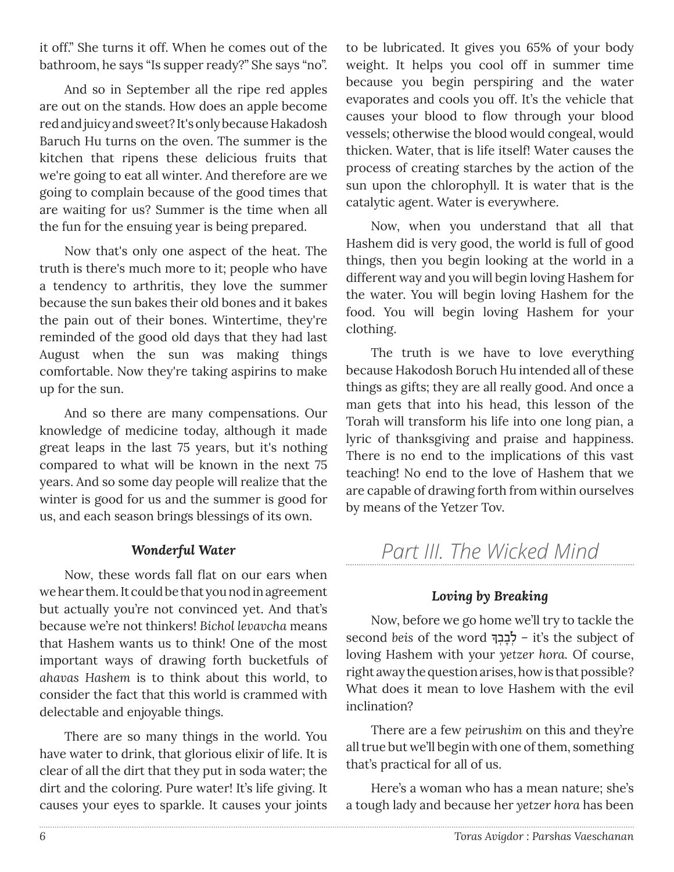it off." She turns it off. When he comes out of the bathroom, he says "Is supper ready?" She says "no".

And so in September all the ripe red apples are out on the stands. How does an apple become red and juicy and sweet? It's only because Hakadosh Baruch Hu turns on the oven. The summer is the kitchen that ripens these delicious fruits that we're going to eat all winter. And therefore are we going to complain because of the good times that are waiting for us? Summer is the time when all the fun for the ensuing year is being prepared.

Now that's only one aspect of the heat. The truth is there's much more to it; people who have a tendency to arthritis, they love the summer because the sun bakes their old bones and it bakes the pain out of their bones. Wintertime, they're reminded of the good old days that they had last August when the sun was making things comfortable. Now they're taking aspirins to make up for the sun.

And so there are many compensations. Our knowledge of medicine today, although it made great leaps in the last 75 years, but it's nothing compared to what will be known in the next 75 years. And so some day people will realize that the winter is good for us and the summer is good for us, and each season brings blessings of its own.

### *Wonderful Water*

Now, these words fall flat on our ears when we hear them. It could be that you nod in agreement but actually you're not convinced yet. And that's because we're not thinkers! *Bichol levavcha* means that Hashem wants us to think! One of the most important ways of drawing forth bucketfuls of *ahavas Hashem* is to think about this world, to consider the fact that this world is crammed with delectable and enjoyable things.

There are so many things in the world. You have water to drink, that glorious elixir of life. It is clear of all the dirt that they put in soda water; the dirt and the coloring. Pure water! It's life giving. It causes your eyes to sparkle. It causes your joints

to be lubricated. It gives you 65% of your body weight. It helps you cool off in summer time because you begin perspiring and the water evaporates and cools you off. It's the vehicle that causes your blood to flow through your blood vessels; otherwise the blood would congeal, would thicken. Water, that is life itself! Water causes the process of creating starches by the action of the sun upon the chlorophyll. It is water that is the catalytic agent. Water is everywhere.

Now, when you understand that all that Hashem did is very good, the world is full of good things, then you begin looking at the world in a different way and you will begin loving Hashem for the water. You will begin loving Hashem for the food. You will begin loving Hashem for your clothing.

The truth is we have to love everything because Hakodosh Boruch Hu intended all of these things as gifts; they are all really good. And once a man gets that into his head, this lesson of the Torah will transform his life into one long pian, a lyric of thanksgiving and praise and happiness. There is no end to the implications of this vast teaching! No end to the love of Hashem that we are capable of drawing forth from within ourselves by means of the Yetzer Tov.

# *Part III. The Wicked Mind*

# *Loving by Breaking*

Now, before we go home we'll try to tackle the second beis of the word  $\frac{1}{2}$ לְבְבְךּ $\frac{1}{2}$  – it's the subject of loving Hashem with your *yetzer hora.* Of course, right away the question arises, how is that possible*?* What does it mean to love Hashem with the evil inclination?

There are a few *peirushim* on this and they're all true but we'll begin with one of them, something that's practical for all of us.

Here's a woman who has a mean nature; she's a tough lady and because her *yetzer hora* has been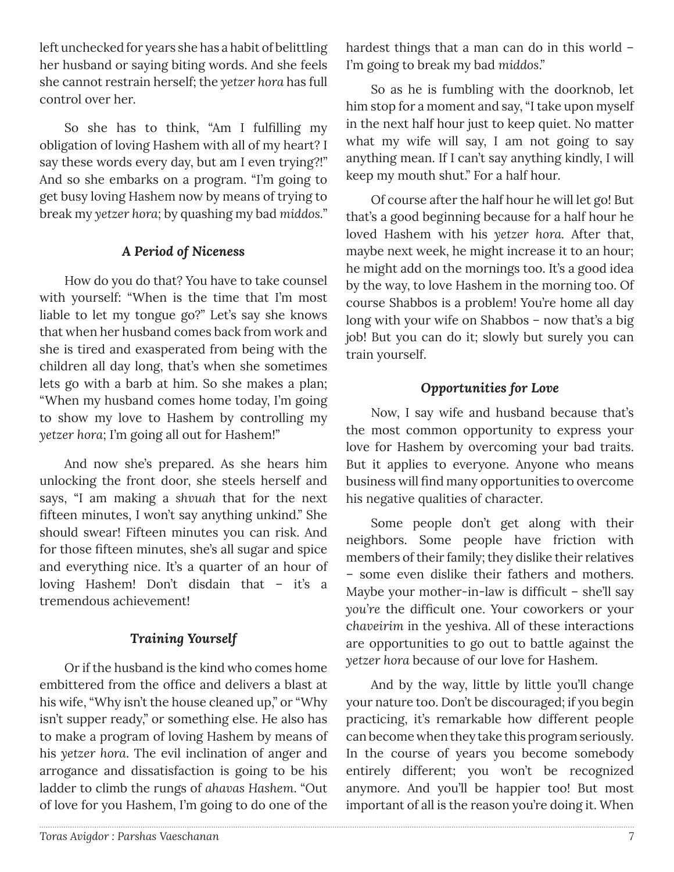left unchecked for years she has a habit of belittling her husband or saying biting words. And she feels she cannot restrain herself; the *yetzer hora* has full control over her.

So she has to think, "Am I fulfilling my obligation of loving Hashem with all of my heart? I say these words every day, but am I even trying?!" And so she embarks on a program. "I'm going to get busy loving Hashem now by means of trying to break my *yetzer hora;* by quashing my bad *middos.*"

# *A Period of Niceness*

How do you do that? You have to take counsel with yourself: "When is the time that I'm most liable to let my tongue go?" Let's say she knows that when her husband comes back from work and she is tired and exasperated from being with the children all day long, that's when she sometimes lets go with a barb at him. So she makes a plan; "When my husband comes home today, I'm going to show my love to Hashem by controlling my *yetzer hora*; I'm going all out for Hashem!"

And now she's prepared. As she hears him unlocking the front door, she steels herself and says, "I am making a *shvuah* that for the next fifteen minutes, I won't say anything unkind." She should swear! Fifteen minutes you can risk. And for those fifteen minutes, she's all sugar and spice and everything nice. It's a quarter of an hour of loving Hashem! Don't disdain that – it's a tremendous achievement!

# *Training Yourself*

Or if the husband is the kind who comes home embittered from the office and delivers a blast at his wife, "Why isn't the house cleaned up," or "Why isn't supper ready," or something else. He also has to make a program of loving Hashem by means of his *yetzer hora*. The evil inclination of anger and arrogance and dissatisfaction is going to be his ladder to climb the rungs of *ahavas Hashem*. "Out of love for you Hashem, I'm going to do one of the hardest things that a man can do in this world – I'm going to break my bad *middos*."

So as he is fumbling with the doorknob, let him stop for a moment and say, "I take upon myself in the next half hour just to keep quiet. No matter what my wife will say, I am not going to say anything mean. If I can't say anything kindly, I will keep my mouth shut." For a half hour.

Of course after the half hour he will let go! But that's a good beginning because for a half hour he loved Hashem with his *yetzer hora.* After that, maybe next week, he might increase it to an hour; he might add on the mornings too. It's a good idea by the way, to love Hashem in the morning too. Of course Shabbos is a problem! You're home all day long with your wife on Shabbos – now that's a big job! But you can do it; slowly but surely you can train yourself.

# *Opportunities for Love*

Now, I say wife and husband because that's the most common opportunity to express your love for Hashem by overcoming your bad traits. But it applies to everyone. Anyone who means business will find many opportunities to overcome his negative qualities of character.

Some people don't get along with their neighbors. Some people have friction with members of their family; they dislike their relatives – some even dislike their fathers and mothers. Maybe your mother-in-law is difficult – she'll say *you're* the difficult one. Your coworkers or your c*haveirim* in the yeshiva. All of these interactions are opportunities to go out to battle against the *yetzer hora* because of our love for Hashem.

And by the way, little by little you'll change your nature too. Don't be discouraged; if you begin practicing, it's remarkable how different people can become when they take this program seriously. In the course of years you become somebody entirely different; you won't be recognized anymore. And you'll be happier too! But most important of all is the reason you're doing it. When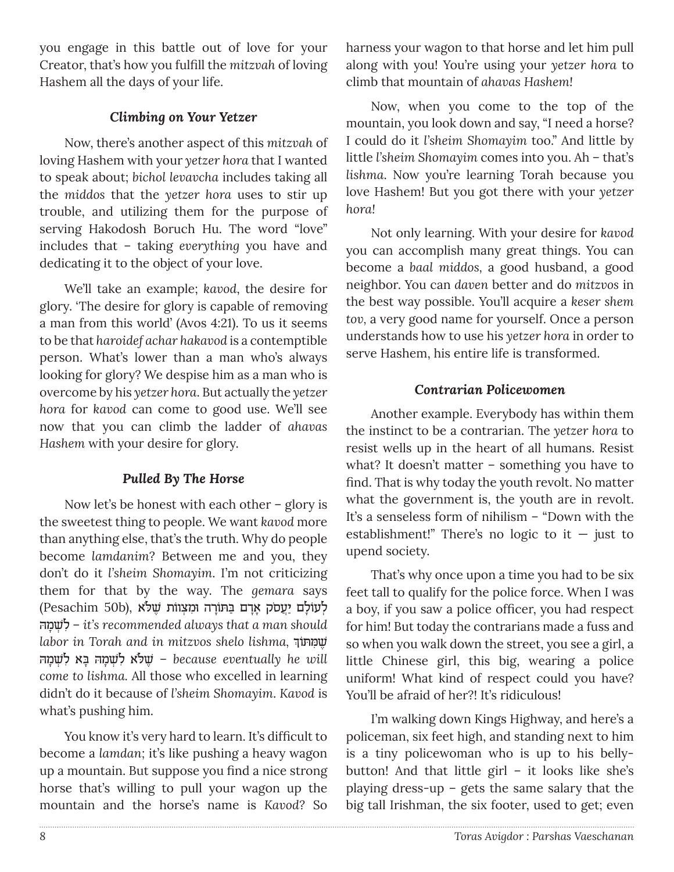you engage in this battle out of love for your Creator, that's how you fulfill the mitzvah of loving Hashem all the days of your life.

# **Climbing on Your Yetzer**

Now, there's another aspect of this mitzvah of loving Hashem with your yetzer hora that I wanted to speak about; bichol levavcha includes taking all the middos that the yetzer hora uses to stir up trouble, and utilizing them for the purpose of serving Hakodosh Boruch Hu. The word "love" includes that - taking everything you have and dedicating it to the object of your love.

We'll take an example; kavod, the desire for glory. 'The desire for glory is capable of removing a man from this world' (Avos 4:21). To us it seems to be that haroidef achar hakavod is a contemptible person. What's lower than a man who's always looking for glory? We despise him as a man who is overcome by his yetzer hora. But actually the yetzer hora for kavod can come to good use. We'll see now that you can climb the ladder of ahavas Hashem with your desire for glory.

# Pulled By The Horse

Now let's be honest with each other  $-$  glory is the sweetest thing to people. We want kavod more than anything else, that's the truth. Why do people become lamdanim? Between me and you, they don't do it l'sheim Shomayim. I'm not criticizing them for that by the way. The gemara says לְעוֹלָם יַעֲסֹק אַדַם בַּתּוֹרָה וּמִצְוֹוֹת שָׁלֹא (Pesachim 50b) לשמה – it's recommended always that a man should labor in Torah and in mitzvos shelo lishma, שמתוך because eventually he will - שֵׁלֹא לִשְׁמָה בָּא לִשְׁמָה come to lishma. All those who excelled in learning didn't do it because of l'sheim Shomayim. Kavod is what's pushing him.

You know it's very hard to learn. It's difficult to become a lamdan; it's like pushing a heavy wagon up a mountain. But suppose you find a nice strong horse that's willing to pull your wagon up the mountain and the horse's name is Kavod? So

harness your wagon to that horse and let him pull along with you! You're using your yetzer hora to climb that mountain of ahavas Hashem!

Now, when you come to the top of the mountain, you look down and say, "I need a horse? I could do it l'sheim Shomayim too." And little by little l'sheim Shomayim comes into you. Ah - that's lishma. Now you're learning Torah because you love Hashem! But you got there with your yetzer hora!

Not only learning. With your desire for kavod you can accomplish many great things. You can become a baal middos, a good husband, a good neighbor. You can daven better and do mitzvos in the best way possible. You'll acquire a keser shem tov, a very good name for yourself. Once a person understands how to use his yetzer hora in order to serve Hashem, his entire life is transformed.

# Contrarian Policewomen

Another example. Everybody has within them the instinct to be a contrarian. The yetzer hora to resist wells up in the heart of all humans. Resist what? It doesn't matter  $-$  something you have to find. That is why today the youth revolt. No matter what the government is, the youth are in revolt. It's a senseless form of nihilism - "Down with the establishment!" There's no logic to it  $-$  just to upend society.

That's why once upon a time you had to be six feet tall to qualify for the police force. When I was a boy, if you saw a police officer, you had respect for him! But today the contrarians made a fuss and so when you walk down the street, you see a girl, a little Chinese girl, this big, wearing a police uniform! What kind of respect could you have? You'll be afraid of her?! It's ridiculous!

I'm walking down Kings Highway, and here's a policeman, six feet high, and standing next to him is a tiny policewoman who is up to his bellybutton! And that little girl - it looks like she's playing dress-up - gets the same salary that the big tall Irishman, the six footer, used to get; even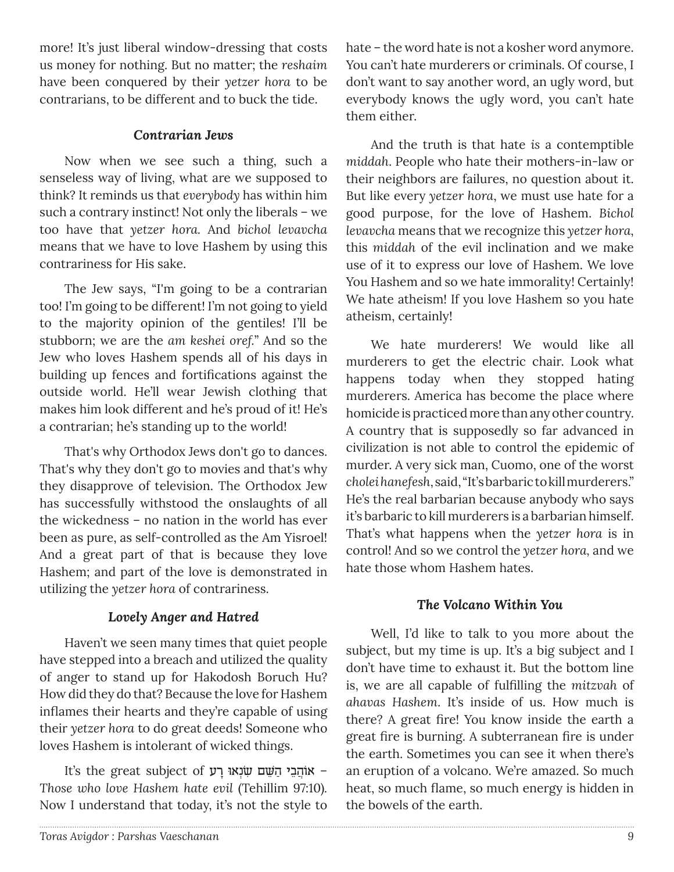more! It's just liberal window-dressing that costs us money for nothing. But no matter; the reshaim have been conquered by their yetzer hora to be contrarians, to be different and to buck the tide.

# Contrarian Jews

Now when we see such a thing, such a senseless way of living, what are we supposed to think? It reminds us that everybody has within him such a contrary instinct! Not only the liberals - we too have that yetzer hora. And bichol levavcha means that we have to love Hashem by using this contrariness for His sake.

The Jew says, "I'm going to be a contrarian too! I'm going to be different! I'm not going to yield to the majority opinion of the gentiles! I'll be stubborn; we are the am keshei oref." And so the Jew who loves Hashem spends all of his days in building up fences and fortifications against the outside world. He'll wear Jewish clothing that makes him look different and he's proud of it! He's a contrarian; he's standing up to the world!

That's why Orthodox Jews don't go to dances. That's why they don't go to movies and that's why they disapprove of television. The Orthodox Jew has successfully withstood the onslaughts of all the wickedness - no nation in the world has ever been as pure, as self-controlled as the Am Yisroel! And a great part of that is because they love Hashem; and part of the love is demonstrated in utilizing the yetzer hora of contrariness.

# Lovely Anger and Hatred

Haven't we seen many times that quiet people have stepped into a breach and utilized the quality of anger to stand up for Hakodosh Boruch Hu? How did they do that? Because the love for Hashem inflames their hearts and they're capable of using their yetzer hora to do great deeds! Someone who loves Hashem is intolerant of wicked things.

It's the great subject of אוֹהֵבֵי הַשָּׁם שִׂנְאוּ רַע Those who love Hashem hate evil (Tehillim 97:10). Now I understand that today, it's not the style to

hate - the word hate is not a kosher word anymore. You can't hate murderers or criminals. Of course, I don't want to say another word, an ugly word, but everybody knows the ugly word, you can't hate them either.

And the truth is that hate is a contemptible middah. People who hate their mothers-in-law or their neighbors are failures, no question about it. But like every yetzer hora, we must use hate for a good purpose, for the love of Hashem. Bichol levavcha means that we recognize this yetzer hora, this middah of the evil inclination and we make use of it to express our love of Hashem. We love You Hashem and so we hate immorality! Certainly! We hate atheism! If you love Hashem so you hate atheism, certainly!

We hate murderers! We would like all murderers to get the electric chair. Look what happens today when they stopped hating murderers. America has become the place where homicide is practiced more than any other country. A country that is supposedly so far advanced in civilization is not able to control the epidemic of murder. A very sick man, Cuomo, one of the worst cholei hanefesh, said, "It's barbaric to kill murderers." He's the real barbarian because anybody who says it's barbaric to kill murderers is a barbarian himself. That's what happens when the yetzer hora is in control! And so we control the yetzer hora, and we hate those whom Hashem hates.

# The Volcano Within You

Well, I'd like to talk to you more about the subject, but my time is up. It's a big subject and I don't have time to exhaust it. But the bottom line is, we are all capable of fulfilling the mitzvah of ahavas Hashem. It's inside of us. How much is there? A great fire! You know inside the earth a great fire is burning. A subterranean fire is under the earth. Sometimes you can see it when there's an eruption of a volcano. We're amazed. So much heat, so much flame, so much energy is hidden in the bowels of the earth.